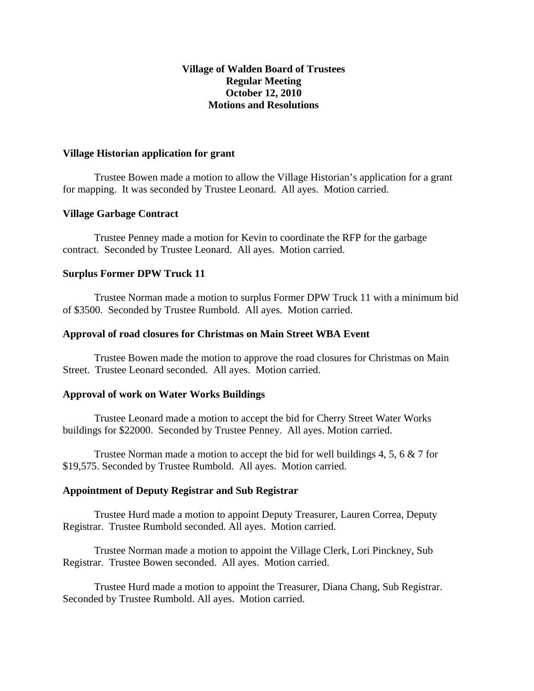# **Village of Walden Board of Trustees Regular Meeting October 12, 2010 Motions and Resolutions**

#### **Village Historian application for grant**

Trustee Bowen made a motion to allow the Village Historian's application for a grant for mapping. It was seconded by Trustee Leonard. All ayes. Motion carried.

## **Village Garbage Contract**

Trustee Penney made a motion for Kevin to coordinate the RFP for the garbage contract. Seconded by Trustee Leonard. All ayes. Motion carried.

## **Surplus Former DPW Truck 11**

Trustee Norman made a motion to surplus Former DPW Truck 11 with a minimum bid of \$3500. Seconded by Trustee Rumbold. All ayes. Motion carried.

## **Approval of road closures for Christmas on Main Street WBA Event**

Trustee Bowen made the motion to approve the road closures for Christmas on Main Street. Trustee Leonard seconded. All ayes. Motion carried.

#### **Approval of work on Water Works Buildings**

Trustee Leonard made a motion to accept the bid for Cherry Street Water Works buildings for \$22000. Seconded by Trustee Penney. All ayes. Motion carried.

Trustee Norman made a motion to accept the bid for well buildings 4, 5, 6  $\&$  7 for \$19,575. Seconded by Trustee Rumbold. All ayes. Motion carried.

#### **Appointment of Deputy Registrar and Sub Registrar**

Trustee Hurd made a motion to appoint Deputy Treasurer, Lauren Correa, Deputy Registrar. Trustee Rumbold seconded. All ayes. Motion carried.

Trustee Norman made a motion to appoint the Village Clerk, Lori Pinckney, Sub Registrar. Trustee Bowen seconded. All ayes. Motion carried.

Trustee Hurd made a motion to appoint the Treasurer, Diana Chang, Sub Registrar. Seconded by Trustee Rumbold. All ayes. Motion carried.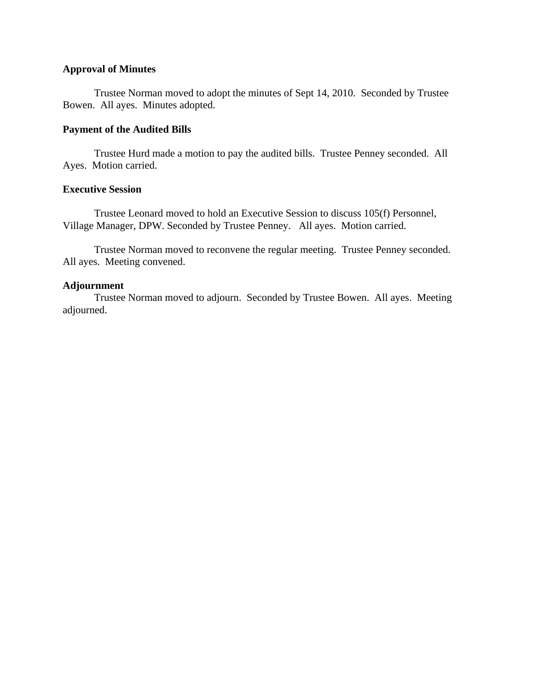## **Approval of Minutes**

Trustee Norman moved to adopt the minutes of Sept 14, 2010. Seconded by Trustee Bowen. All ayes. Minutes adopted.

## **Payment of the Audited Bills**

Trustee Hurd made a motion to pay the audited bills. Trustee Penney seconded. All Ayes. Motion carried.

## **Executive Session**

Trustee Leonard moved to hold an Executive Session to discuss 105(f) Personnel, Village Manager, DPW. Seconded by Trustee Penney. All ayes. Motion carried.

Trustee Norman moved to reconvene the regular meeting. Trustee Penney seconded. All ayes. Meeting convened.

## **Adjournment**

Trustee Norman moved to adjourn. Seconded by Trustee Bowen. All ayes. Meeting adjourned.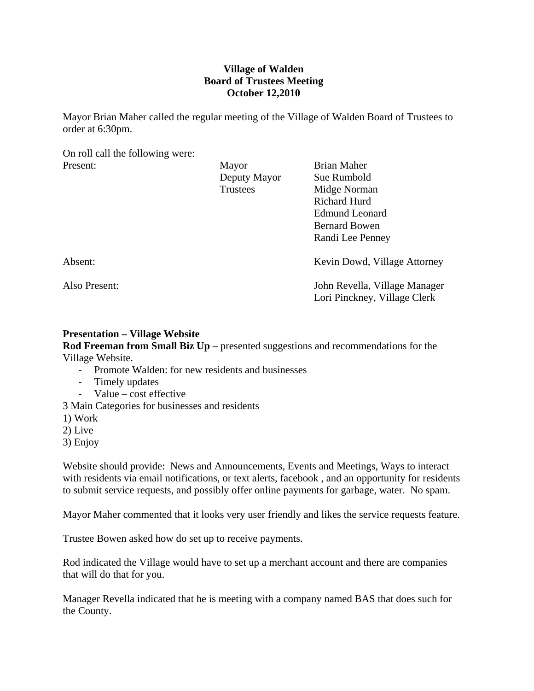# **Village of Walden Board of Trustees Meeting October 12,2010**

Mayor Brian Maher called the regular meeting of the Village of Walden Board of Trustees to order at 6:30pm.

On roll call the following were:

| Present:      | Mayor           | <b>Brian Maher</b>                                            |
|---------------|-----------------|---------------------------------------------------------------|
|               | Deputy Mayor    | Sue Rumbold                                                   |
|               | <b>Trustees</b> | Midge Norman                                                  |
|               |                 | Richard Hurd                                                  |
|               |                 | <b>Edmund Leonard</b>                                         |
|               |                 | <b>Bernard Bowen</b>                                          |
|               |                 | Randi Lee Penney                                              |
| Absent:       |                 | Kevin Dowd, Village Attorney                                  |
| Also Present: |                 | John Revella, Village Manager<br>Lori Pinckney, Village Clerk |

# **Presentation – Village Website**

**Rod Freeman from Small Biz Up** – presented suggestions and recommendations for the Village Website.

- Promote Walden: for new residents and businesses
- Timely updates
- Value cost effective
- 3 Main Categories for businesses and residents
- 1) Work
- 2) Live
- 3) Enjoy

Website should provide: News and Announcements, Events and Meetings, Ways to interact with residents via email notifications, or text alerts, facebook , and an opportunity for residents to submit service requests, and possibly offer online payments for garbage, water. No spam.

Mayor Maher commented that it looks very user friendly and likes the service requests feature.

Trustee Bowen asked how do set up to receive payments.

Rod indicated the Village would have to set up a merchant account and there are companies that will do that for you.

Manager Revella indicated that he is meeting with a company named BAS that does such for the County.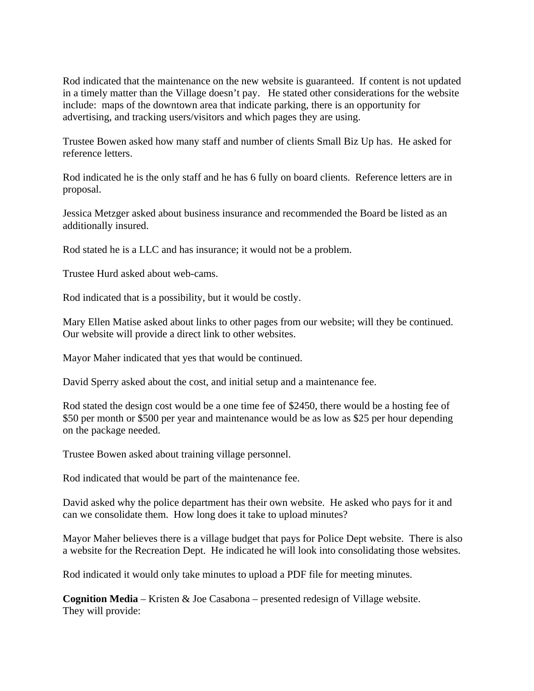Rod indicated that the maintenance on the new website is guaranteed. If content is not updated in a timely matter than the Village doesn't pay. He stated other considerations for the website include: maps of the downtown area that indicate parking, there is an opportunity for advertising, and tracking users/visitors and which pages they are using.

Trustee Bowen asked how many staff and number of clients Small Biz Up has. He asked for reference letters.

Rod indicated he is the only staff and he has 6 fully on board clients. Reference letters are in proposal.

Jessica Metzger asked about business insurance and recommended the Board be listed as an additionally insured.

Rod stated he is a LLC and has insurance; it would not be a problem.

Trustee Hurd asked about web-cams.

Rod indicated that is a possibility, but it would be costly.

Mary Ellen Matise asked about links to other pages from our website; will they be continued. Our website will provide a direct link to other websites.

Mayor Maher indicated that yes that would be continued.

David Sperry asked about the cost, and initial setup and a maintenance fee.

Rod stated the design cost would be a one time fee of \$2450, there would be a hosting fee of \$50 per month or \$500 per year and maintenance would be as low as \$25 per hour depending on the package needed.

Trustee Bowen asked about training village personnel.

Rod indicated that would be part of the maintenance fee.

David asked why the police department has their own website. He asked who pays for it and can we consolidate them. How long does it take to upload minutes?

Mayor Maher believes there is a village budget that pays for Police Dept website. There is also a website for the Recreation Dept. He indicated he will look into consolidating those websites.

Rod indicated it would only take minutes to upload a PDF file for meeting minutes.

**Cognition Media** – Kristen & Joe Casabona – presented redesign of Village website. They will provide: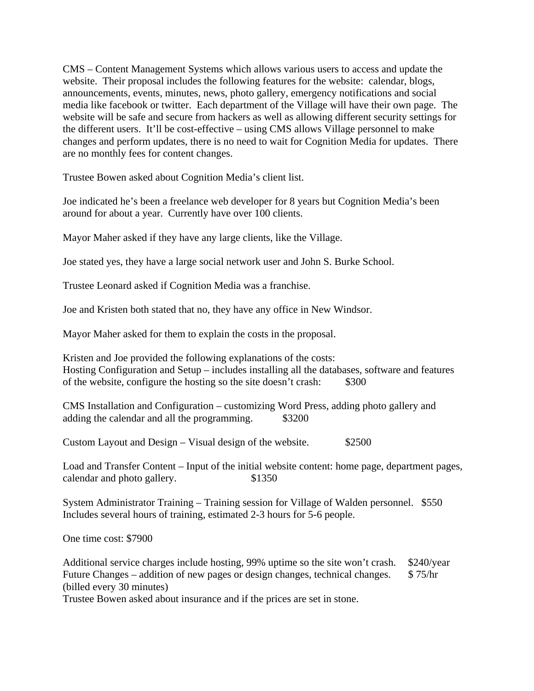CMS – Content Management Systems which allows various users to access and update the website. Their proposal includes the following features for the website: calendar, blogs, announcements, events, minutes, news, photo gallery, emergency notifications and social media like facebook or twitter. Each department of the Village will have their own page. The website will be safe and secure from hackers as well as allowing different security settings for the different users. It'll be cost-effective – using CMS allows Village personnel to make changes and perform updates, there is no need to wait for Cognition Media for updates. There are no monthly fees for content changes.

Trustee Bowen asked about Cognition Media's client list.

Joe indicated he's been a freelance web developer for 8 years but Cognition Media's been around for about a year. Currently have over 100 clients.

Mayor Maher asked if they have any large clients, like the Village.

Joe stated yes, they have a large social network user and John S. Burke School.

Trustee Leonard asked if Cognition Media was a franchise.

Joe and Kristen both stated that no, they have any office in New Windsor.

Mayor Maher asked for them to explain the costs in the proposal.

Kristen and Joe provided the following explanations of the costs: Hosting Configuration and Setup – includes installing all the databases, software and features of the website, configure the hosting so the site doesn't crash: \$300

CMS Installation and Configuration – customizing Word Press, adding photo gallery and adding the calendar and all the programming.  $$3200$ 

Custom Layout and Design – Visual design of the website.  $$2500$ 

Load and Transfer Content – Input of the initial website content: home page, department pages, calendar and photo gallery.  $$1350$ 

System Administrator Training – Training session for Village of Walden personnel. \$550 Includes several hours of training, estimated 2-3 hours for 5-6 people.

One time cost: \$7900

Additional service charges include hosting, 99% uptime so the site won't crash. \$240/year Future Changes – addition of new pages or design changes, technical changes. \$ 75/hr (billed every 30 minutes)

Trustee Bowen asked about insurance and if the prices are set in stone.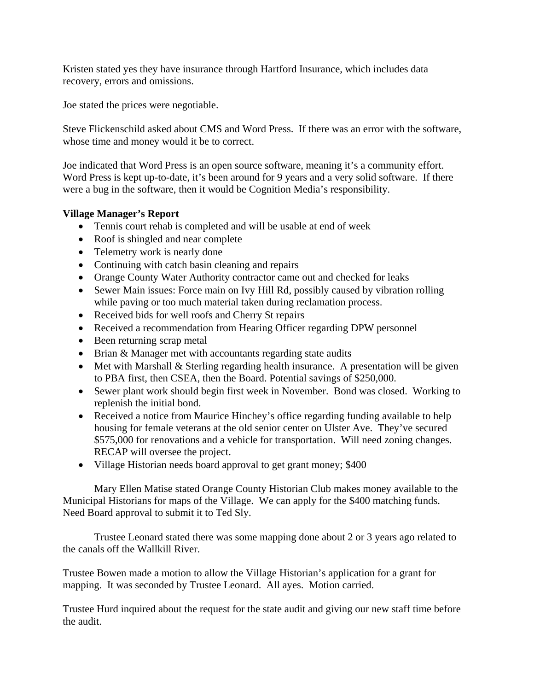Kristen stated yes they have insurance through Hartford Insurance, which includes data recovery, errors and omissions.

Joe stated the prices were negotiable.

Steve Flickenschild asked about CMS and Word Press. If there was an error with the software, whose time and money would it be to correct.

Joe indicated that Word Press is an open source software, meaning it's a community effort. Word Press is kept up-to-date, it's been around for 9 years and a very solid software. If there were a bug in the software, then it would be Cognition Media's responsibility.

# **Village Manager's Report**

- Tennis court rehab is completed and will be usable at end of week
- Roof is shingled and near complete
- Telemetry work is nearly done
- Continuing with catch basin cleaning and repairs
- Orange County Water Authority contractor came out and checked for leaks
- Sewer Main issues: Force main on Ivy Hill Rd, possibly caused by vibration rolling while paving or too much material taken during reclamation process.
- Received bids for well roofs and Cherry St repairs
- Received a recommendation from Hearing Officer regarding DPW personnel
- Been returning scrap metal
- Brian & Manager met with accountants regarding state audits
- Met with Marshall & Sterling regarding health insurance. A presentation will be given to PBA first, then CSEA, then the Board. Potential savings of \$250,000.
- Sewer plant work should begin first week in November. Bond was closed. Working to replenish the initial bond.
- Received a notice from Maurice Hinchey's office regarding funding available to help housing for female veterans at the old senior center on Ulster Ave. They've secured \$575,000 for renovations and a vehicle for transportation. Will need zoning changes. RECAP will oversee the project.
- Village Historian needs board approval to get grant money; \$400

 Mary Ellen Matise stated Orange County Historian Club makes money available to the Municipal Historians for maps of the Village. We can apply for the \$400 matching funds. Need Board approval to submit it to Ted Sly.

 Trustee Leonard stated there was some mapping done about 2 or 3 years ago related to the canals off the Wallkill River.

Trustee Bowen made a motion to allow the Village Historian's application for a grant for mapping. It was seconded by Trustee Leonard. All ayes. Motion carried.

Trustee Hurd inquired about the request for the state audit and giving our new staff time before the audit.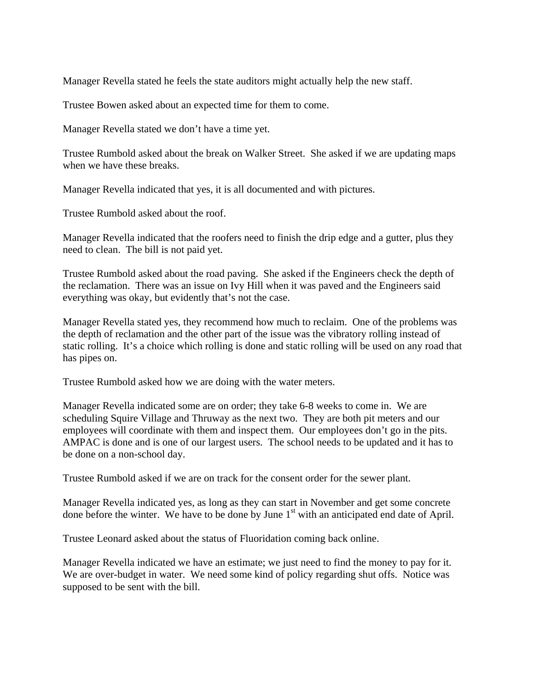Manager Revella stated he feels the state auditors might actually help the new staff.

Trustee Bowen asked about an expected time for them to come.

Manager Revella stated we don't have a time yet.

Trustee Rumbold asked about the break on Walker Street. She asked if we are updating maps when we have these breaks.

Manager Revella indicated that yes, it is all documented and with pictures.

Trustee Rumbold asked about the roof.

Manager Revella indicated that the roofers need to finish the drip edge and a gutter, plus they need to clean. The bill is not paid yet.

Trustee Rumbold asked about the road paving. She asked if the Engineers check the depth of the reclamation. There was an issue on Ivy Hill when it was paved and the Engineers said everything was okay, but evidently that's not the case.

Manager Revella stated yes, they recommend how much to reclaim. One of the problems was the depth of reclamation and the other part of the issue was the vibratory rolling instead of static rolling. It's a choice which rolling is done and static rolling will be used on any road that has pipes on.

Trustee Rumbold asked how we are doing with the water meters.

Manager Revella indicated some are on order; they take 6-8 weeks to come in. We are scheduling Squire Village and Thruway as the next two. They are both pit meters and our employees will coordinate with them and inspect them. Our employees don't go in the pits. AMPAC is done and is one of our largest users. The school needs to be updated and it has to be done on a non-school day.

Trustee Rumbold asked if we are on track for the consent order for the sewer plant.

Manager Revella indicated yes, as long as they can start in November and get some concrete done before the winter. We have to be done by June  $1<sup>st</sup>$  with an anticipated end date of April.

Trustee Leonard asked about the status of Fluoridation coming back online.

Manager Revella indicated we have an estimate; we just need to find the money to pay for it. We are over-budget in water. We need some kind of policy regarding shut offs. Notice was supposed to be sent with the bill.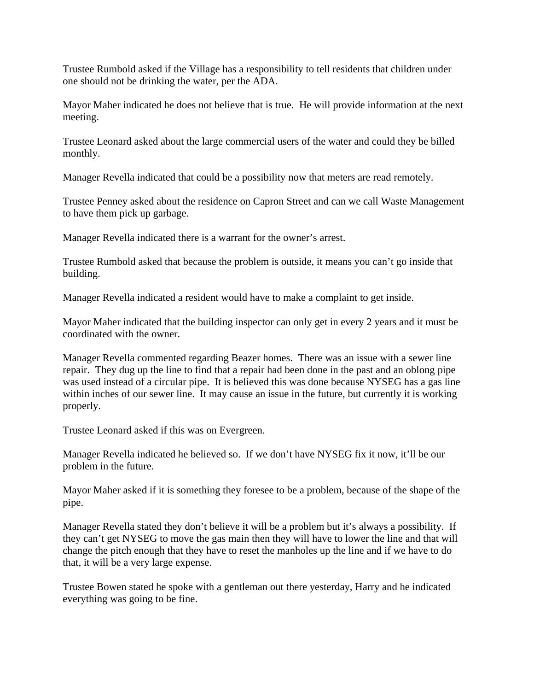Trustee Rumbold asked if the Village has a responsibility to tell residents that children under one should not be drinking the water, per the ADA.

Mayor Maher indicated he does not believe that is true. He will provide information at the next meeting.

Trustee Leonard asked about the large commercial users of the water and could they be billed monthly.

Manager Revella indicated that could be a possibility now that meters are read remotely.

Trustee Penney asked about the residence on Capron Street and can we call Waste Management to have them pick up garbage.

Manager Revella indicated there is a warrant for the owner's arrest.

Trustee Rumbold asked that because the problem is outside, it means you can't go inside that building.

Manager Revella indicated a resident would have to make a complaint to get inside.

Mayor Maher indicated that the building inspector can only get in every 2 years and it must be coordinated with the owner.

Manager Revella commented regarding Beazer homes. There was an issue with a sewer line repair. They dug up the line to find that a repair had been done in the past and an oblong pipe was used instead of a circular pipe. It is believed this was done because NYSEG has a gas line within inches of our sewer line. It may cause an issue in the future, but currently it is working properly.

Trustee Leonard asked if this was on Evergreen.

Manager Revella indicated he believed so. If we don't have NYSEG fix it now, it'll be our problem in the future.

Mayor Maher asked if it is something they foresee to be a problem, because of the shape of the pipe.

Manager Revella stated they don't believe it will be a problem but it's always a possibility. If they can't get NYSEG to move the gas main then they will have to lower the line and that will change the pitch enough that they have to reset the manholes up the line and if we have to do that, it will be a very large expense.

Trustee Bowen stated he spoke with a gentleman out there yesterday, Harry and he indicated everything was going to be fine.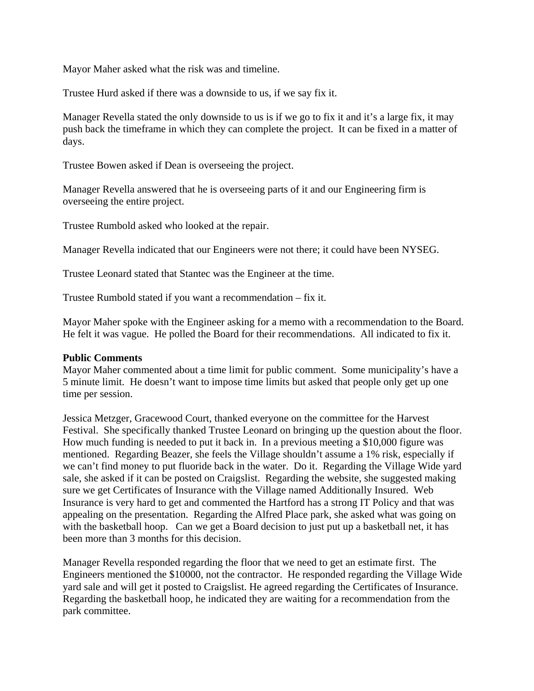Mayor Maher asked what the risk was and timeline.

Trustee Hurd asked if there was a downside to us, if we say fix it.

Manager Revella stated the only downside to us is if we go to fix it and it's a large fix, it may push back the timeframe in which they can complete the project. It can be fixed in a matter of days.

Trustee Bowen asked if Dean is overseeing the project.

Manager Revella answered that he is overseeing parts of it and our Engineering firm is overseeing the entire project.

Trustee Rumbold asked who looked at the repair.

Manager Revella indicated that our Engineers were not there; it could have been NYSEG.

Trustee Leonard stated that Stantec was the Engineer at the time.

Trustee Rumbold stated if you want a recommendation – fix it.

Mayor Maher spoke with the Engineer asking for a memo with a recommendation to the Board. He felt it was vague. He polled the Board for their recommendations. All indicated to fix it.

## **Public Comments**

Mayor Maher commented about a time limit for public comment. Some municipality's have a 5 minute limit. He doesn't want to impose time limits but asked that people only get up one time per session.

Jessica Metzger, Gracewood Court, thanked everyone on the committee for the Harvest Festival. She specifically thanked Trustee Leonard on bringing up the question about the floor. How much funding is needed to put it back in. In a previous meeting a \$10,000 figure was mentioned. Regarding Beazer, she feels the Village shouldn't assume a 1% risk, especially if we can't find money to put fluoride back in the water. Do it. Regarding the Village Wide yard sale, she asked if it can be posted on Craigslist. Regarding the website, she suggested making sure we get Certificates of Insurance with the Village named Additionally Insured. Web Insurance is very hard to get and commented the Hartford has a strong IT Policy and that was appealing on the presentation. Regarding the Alfred Place park, she asked what was going on with the basketball hoop. Can we get a Board decision to just put up a basketball net, it has been more than 3 months for this decision.

Manager Revella responded regarding the floor that we need to get an estimate first. The Engineers mentioned the \$10000, not the contractor. He responded regarding the Village Wide yard sale and will get it posted to Craigslist. He agreed regarding the Certificates of Insurance. Regarding the basketball hoop, he indicated they are waiting for a recommendation from the park committee.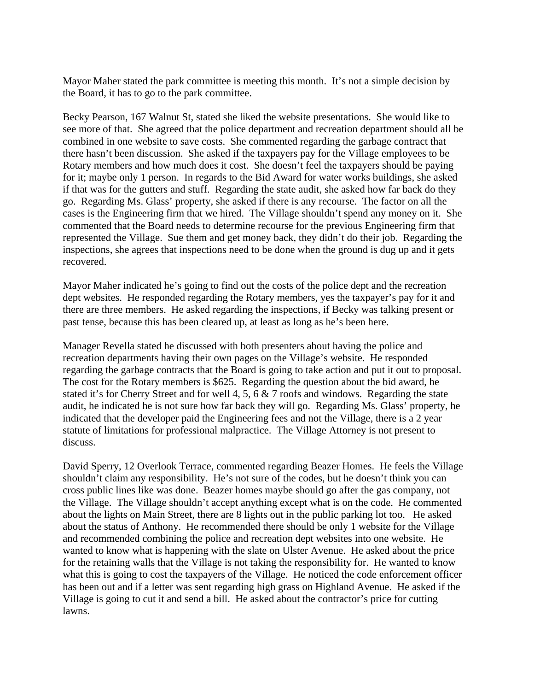Mayor Maher stated the park committee is meeting this month. It's not a simple decision by the Board, it has to go to the park committee.

Becky Pearson, 167 Walnut St, stated she liked the website presentations. She would like to see more of that. She agreed that the police department and recreation department should all be combined in one website to save costs. She commented regarding the garbage contract that there hasn't been discussion. She asked if the taxpayers pay for the Village employees to be Rotary members and how much does it cost. She doesn't feel the taxpayers should be paying for it; maybe only 1 person. In regards to the Bid Award for water works buildings, she asked if that was for the gutters and stuff. Regarding the state audit, she asked how far back do they go. Regarding Ms. Glass' property, she asked if there is any recourse. The factor on all the cases is the Engineering firm that we hired. The Village shouldn't spend any money on it. She commented that the Board needs to determine recourse for the previous Engineering firm that represented the Village. Sue them and get money back, they didn't do their job. Regarding the inspections, she agrees that inspections need to be done when the ground is dug up and it gets recovered.

Mayor Maher indicated he's going to find out the costs of the police dept and the recreation dept websites. He responded regarding the Rotary members, yes the taxpayer's pay for it and there are three members. He asked regarding the inspections, if Becky was talking present or past tense, because this has been cleared up, at least as long as he's been here.

Manager Revella stated he discussed with both presenters about having the police and recreation departments having their own pages on the Village's website. He responded regarding the garbage contracts that the Board is going to take action and put it out to proposal. The cost for the Rotary members is \$625. Regarding the question about the bid award, he stated it's for Cherry Street and for well 4, 5, 6 & 7 roofs and windows. Regarding the state audit, he indicated he is not sure how far back they will go. Regarding Ms. Glass' property, he indicated that the developer paid the Engineering fees and not the Village, there is a 2 year statute of limitations for professional malpractice. The Village Attorney is not present to discuss.

David Sperry, 12 Overlook Terrace, commented regarding Beazer Homes. He feels the Village shouldn't claim any responsibility. He's not sure of the codes, but he doesn't think you can cross public lines like was done. Beazer homes maybe should go after the gas company, not the Village. The Village shouldn't accept anything except what is on the code. He commented about the lights on Main Street, there are 8 lights out in the public parking lot too. He asked about the status of Anthony. He recommended there should be only 1 website for the Village and recommended combining the police and recreation dept websites into one website. He wanted to know what is happening with the slate on Ulster Avenue. He asked about the price for the retaining walls that the Village is not taking the responsibility for. He wanted to know what this is going to cost the taxpayers of the Village. He noticed the code enforcement officer has been out and if a letter was sent regarding high grass on Highland Avenue. He asked if the Village is going to cut it and send a bill. He asked about the contractor's price for cutting lawns.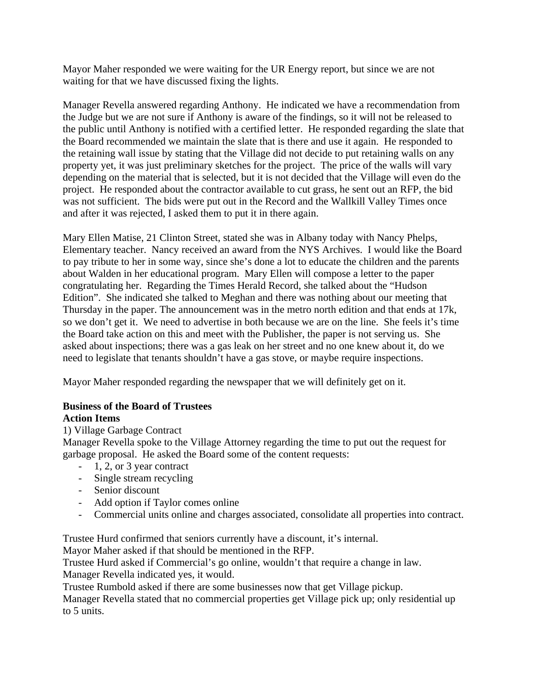Mayor Maher responded we were waiting for the UR Energy report, but since we are not waiting for that we have discussed fixing the lights.

Manager Revella answered regarding Anthony. He indicated we have a recommendation from the Judge but we are not sure if Anthony is aware of the findings, so it will not be released to the public until Anthony is notified with a certified letter. He responded regarding the slate that the Board recommended we maintain the slate that is there and use it again. He responded to the retaining wall issue by stating that the Village did not decide to put retaining walls on any property yet, it was just preliminary sketches for the project. The price of the walls will vary depending on the material that is selected, but it is not decided that the Village will even do the project. He responded about the contractor available to cut grass, he sent out an RFP, the bid was not sufficient. The bids were put out in the Record and the Wallkill Valley Times once and after it was rejected, I asked them to put it in there again.

Mary Ellen Matise, 21 Clinton Street, stated she was in Albany today with Nancy Phelps, Elementary teacher. Nancy received an award from the NYS Archives. I would like the Board to pay tribute to her in some way, since she's done a lot to educate the children and the parents about Walden in her educational program. Mary Ellen will compose a letter to the paper congratulating her. Regarding the Times Herald Record, she talked about the "Hudson Edition". She indicated she talked to Meghan and there was nothing about our meeting that Thursday in the paper. The announcement was in the metro north edition and that ends at 17k, so we don't get it. We need to advertise in both because we are on the line. She feels it's time the Board take action on this and meet with the Publisher, the paper is not serving us. She asked about inspections; there was a gas leak on her street and no one knew about it, do we need to legislate that tenants shouldn't have a gas stove, or maybe require inspections.

Mayor Maher responded regarding the newspaper that we will definitely get on it.

## **Business of the Board of Trustees Action Items**

# 1) Village Garbage Contract

Manager Revella spoke to the Village Attorney regarding the time to put out the request for garbage proposal. He asked the Board some of the content requests:

- 1, 2, or 3 year contract
- Single stream recycling
- Senior discount
- Add option if Taylor comes online
- Commercial units online and charges associated, consolidate all properties into contract.

Trustee Hurd confirmed that seniors currently have a discount, it's internal.

Mayor Maher asked if that should be mentioned in the RFP.

Trustee Hurd asked if Commercial's go online, wouldn't that require a change in law.

Manager Revella indicated yes, it would.

Trustee Rumbold asked if there are some businesses now that get Village pickup.

Manager Revella stated that no commercial properties get Village pick up; only residential up to 5 units.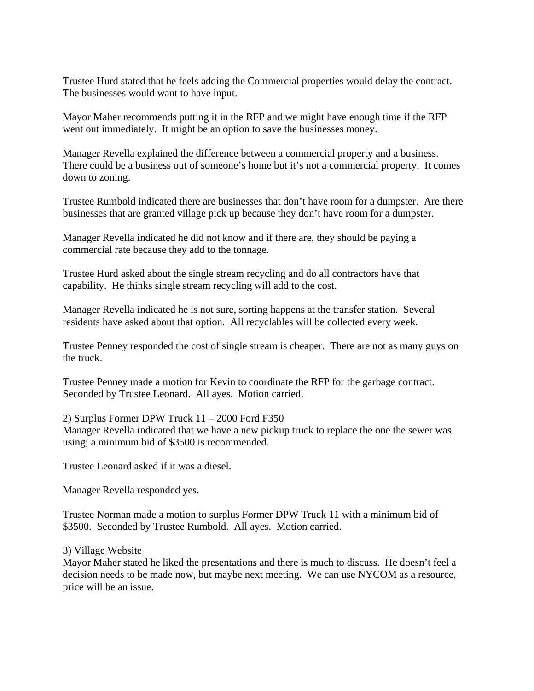Trustee Hurd stated that he feels adding the Commercial properties would delay the contract. The businesses would want to have input.

Mayor Maher recommends putting it in the RFP and we might have enough time if the RFP went out immediately. It might be an option to save the businesses money.

Manager Revella explained the difference between a commercial property and a business. There could be a business out of someone's home but it's not a commercial property. It comes down to zoning.

Trustee Rumbold indicated there are businesses that don't have room for a dumpster. Are there businesses that are granted village pick up because they don't have room for a dumpster.

Manager Revella indicated he did not know and if there are, they should be paying a commercial rate because they add to the tonnage.

Trustee Hurd asked about the single stream recycling and do all contractors have that capability. He thinks single stream recycling will add to the cost.

Manager Revella indicated he is not sure, sorting happens at the transfer station. Several residents have asked about that option. All recyclables will be collected every week.

Trustee Penney responded the cost of single stream is cheaper. There are not as many guys on the truck.

Trustee Penney made a motion for Kevin to coordinate the RFP for the garbage contract. Seconded by Trustee Leonard. All ayes. Motion carried.

2) Surplus Former DPW Truck 11 – 2000 Ford F350

Manager Revella indicated that we have a new pickup truck to replace the one the sewer was using; a minimum bid of \$3500 is recommended.

Trustee Leonard asked if it was a diesel.

Manager Revella responded yes.

Trustee Norman made a motion to surplus Former DPW Truck 11 with a minimum bid of \$3500. Seconded by Trustee Rumbold. All ayes. Motion carried.

3) Village Website

Mayor Maher stated he liked the presentations and there is much to discuss. He doesn't feel a decision needs to be made now, but maybe next meeting. We can use NYCOM as a resource, price will be an issue.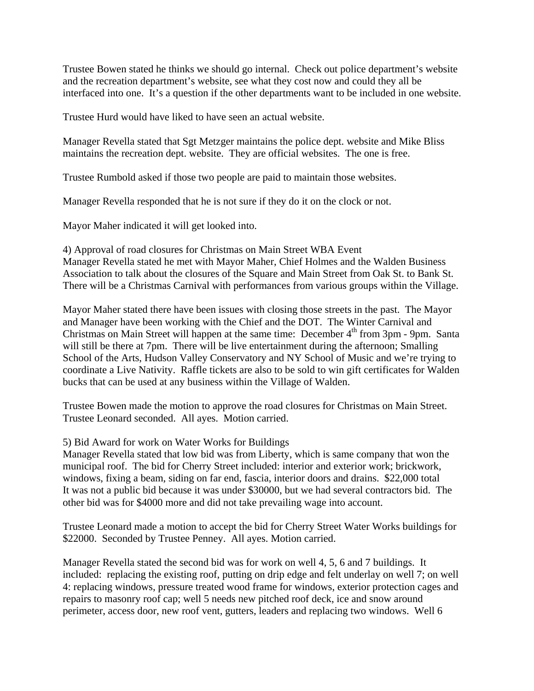Trustee Bowen stated he thinks we should go internal. Check out police department's website and the recreation department's website, see what they cost now and could they all be interfaced into one. It's a question if the other departments want to be included in one website.

Trustee Hurd would have liked to have seen an actual website.

Manager Revella stated that Sgt Metzger maintains the police dept. website and Mike Bliss maintains the recreation dept. website. They are official websites. The one is free.

Trustee Rumbold asked if those two people are paid to maintain those websites.

Manager Revella responded that he is not sure if they do it on the clock or not.

Mayor Maher indicated it will get looked into.

4) Approval of road closures for Christmas on Main Street WBA Event Manager Revella stated he met with Mayor Maher, Chief Holmes and the Walden Business Association to talk about the closures of the Square and Main Street from Oak St. to Bank St. There will be a Christmas Carnival with performances from various groups within the Village.

Mayor Maher stated there have been issues with closing those streets in the past. The Mayor and Manager have been working with the Chief and the DOT. The Winter Carnival and Christmas on Main Street will happen at the same time: December  $4<sup>th</sup>$  from 3pm - 9pm. Santa will still be there at 7pm. There will be live entertainment during the afternoon; Smalling School of the Arts, Hudson Valley Conservatory and NY School of Music and we're trying to coordinate a Live Nativity. Raffle tickets are also to be sold to win gift certificates for Walden bucks that can be used at any business within the Village of Walden.

Trustee Bowen made the motion to approve the road closures for Christmas on Main Street. Trustee Leonard seconded. All ayes. Motion carried.

## 5) Bid Award for work on Water Works for Buildings

Manager Revella stated that low bid was from Liberty, which is same company that won the municipal roof. The bid for Cherry Street included: interior and exterior work; brickwork, windows, fixing a beam, siding on far end, fascia, interior doors and drains. \$22,000 total It was not a public bid because it was under \$30000, but we had several contractors bid. The other bid was for \$4000 more and did not take prevailing wage into account.

Trustee Leonard made a motion to accept the bid for Cherry Street Water Works buildings for \$22000. Seconded by Trustee Penney. All ayes. Motion carried.

Manager Revella stated the second bid was for work on well 4, 5, 6 and 7 buildings. It included: replacing the existing roof, putting on drip edge and felt underlay on well 7; on well 4: replacing windows, pressure treated wood frame for windows, exterior protection cages and repairs to masonry roof cap; well 5 needs new pitched roof deck, ice and snow around perimeter, access door, new roof vent, gutters, leaders and replacing two windows. Well 6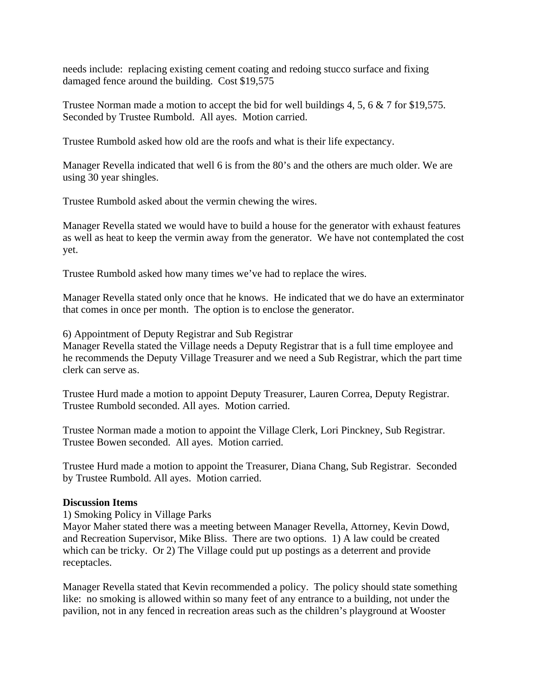needs include: replacing existing cement coating and redoing stucco surface and fixing damaged fence around the building. Cost \$19,575

Trustee Norman made a motion to accept the bid for well buildings 4, 5, 6 & 7 for \$19,575. Seconded by Trustee Rumbold. All ayes. Motion carried.

Trustee Rumbold asked how old are the roofs and what is their life expectancy.

Manager Revella indicated that well 6 is from the 80's and the others are much older. We are using 30 year shingles.

Trustee Rumbold asked about the vermin chewing the wires.

Manager Revella stated we would have to build a house for the generator with exhaust features as well as heat to keep the vermin away from the generator. We have not contemplated the cost yet.

Trustee Rumbold asked how many times we've had to replace the wires.

Manager Revella stated only once that he knows. He indicated that we do have an exterminator that comes in once per month. The option is to enclose the generator.

6) Appointment of Deputy Registrar and Sub Registrar

Manager Revella stated the Village needs a Deputy Registrar that is a full time employee and he recommends the Deputy Village Treasurer and we need a Sub Registrar, which the part time clerk can serve as.

Trustee Hurd made a motion to appoint Deputy Treasurer, Lauren Correa, Deputy Registrar. Trustee Rumbold seconded. All ayes. Motion carried.

Trustee Norman made a motion to appoint the Village Clerk, Lori Pinckney, Sub Registrar. Trustee Bowen seconded. All ayes. Motion carried.

Trustee Hurd made a motion to appoint the Treasurer, Diana Chang, Sub Registrar. Seconded by Trustee Rumbold. All ayes. Motion carried.

## **Discussion Items**

1) Smoking Policy in Village Parks

Mayor Maher stated there was a meeting between Manager Revella, Attorney, Kevin Dowd, and Recreation Supervisor, Mike Bliss. There are two options. 1) A law could be created which can be tricky. Or 2) The Village could put up postings as a deterrent and provide receptacles.

Manager Revella stated that Kevin recommended a policy. The policy should state something like: no smoking is allowed within so many feet of any entrance to a building, not under the pavilion, not in any fenced in recreation areas such as the children's playground at Wooster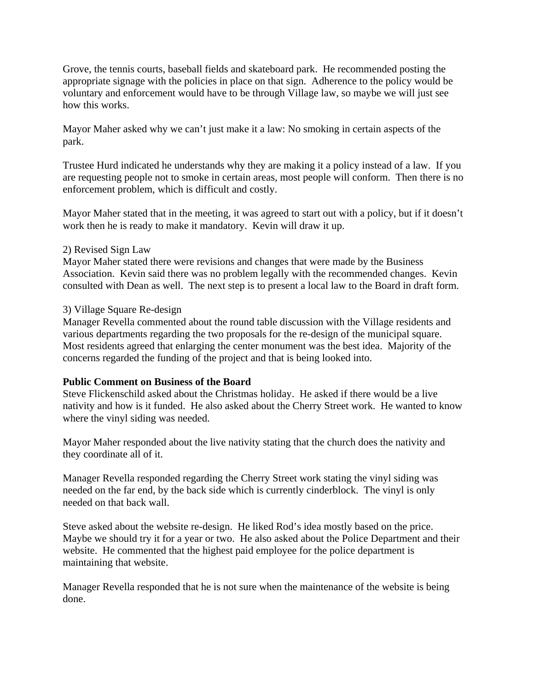Grove, the tennis courts, baseball fields and skateboard park. He recommended posting the appropriate signage with the policies in place on that sign. Adherence to the policy would be voluntary and enforcement would have to be through Village law, so maybe we will just see how this works.

Mayor Maher asked why we can't just make it a law: No smoking in certain aspects of the park.

Trustee Hurd indicated he understands why they are making it a policy instead of a law. If you are requesting people not to smoke in certain areas, most people will conform. Then there is no enforcement problem, which is difficult and costly.

Mayor Maher stated that in the meeting, it was agreed to start out with a policy, but if it doesn't work then he is ready to make it mandatory. Kevin will draw it up.

## 2) Revised Sign Law

Mayor Maher stated there were revisions and changes that were made by the Business Association. Kevin said there was no problem legally with the recommended changes. Kevin consulted with Dean as well. The next step is to present a local law to the Board in draft form.

## 3) Village Square Re-design

Manager Revella commented about the round table discussion with the Village residents and various departments regarding the two proposals for the re-design of the municipal square. Most residents agreed that enlarging the center monument was the best idea. Majority of the concerns regarded the funding of the project and that is being looked into.

## **Public Comment on Business of the Board**

Steve Flickenschild asked about the Christmas holiday. He asked if there would be a live nativity and how is it funded. He also asked about the Cherry Street work. He wanted to know where the vinyl siding was needed.

Mayor Maher responded about the live nativity stating that the church does the nativity and they coordinate all of it.

Manager Revella responded regarding the Cherry Street work stating the vinyl siding was needed on the far end, by the back side which is currently cinderblock. The vinyl is only needed on that back wall.

Steve asked about the website re-design. He liked Rod's idea mostly based on the price. Maybe we should try it for a year or two. He also asked about the Police Department and their website. He commented that the highest paid employee for the police department is maintaining that website.

Manager Revella responded that he is not sure when the maintenance of the website is being done.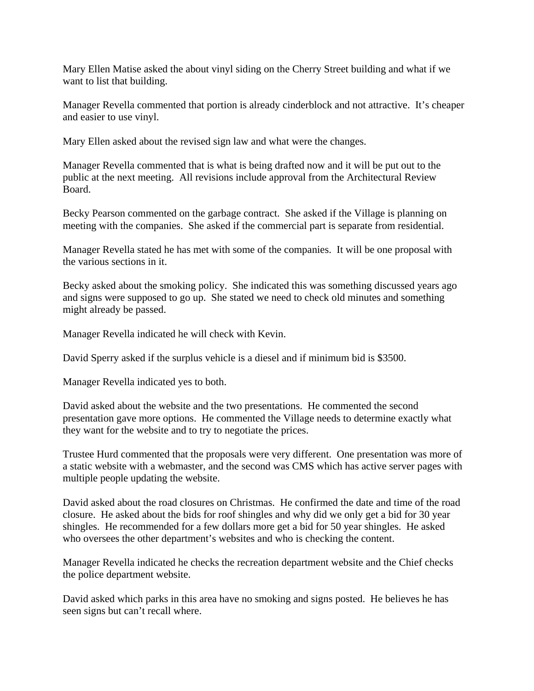Mary Ellen Matise asked the about vinyl siding on the Cherry Street building and what if we want to list that building.

Manager Revella commented that portion is already cinderblock and not attractive. It's cheaper and easier to use vinyl.

Mary Ellen asked about the revised sign law and what were the changes.

Manager Revella commented that is what is being drafted now and it will be put out to the public at the next meeting. All revisions include approval from the Architectural Review Board.

Becky Pearson commented on the garbage contract. She asked if the Village is planning on meeting with the companies. She asked if the commercial part is separate from residential.

Manager Revella stated he has met with some of the companies. It will be one proposal with the various sections in it.

Becky asked about the smoking policy. She indicated this was something discussed years ago and signs were supposed to go up. She stated we need to check old minutes and something might already be passed.

Manager Revella indicated he will check with Kevin.

David Sperry asked if the surplus vehicle is a diesel and if minimum bid is \$3500.

Manager Revella indicated yes to both.

David asked about the website and the two presentations. He commented the second presentation gave more options. He commented the Village needs to determine exactly what they want for the website and to try to negotiate the prices.

Trustee Hurd commented that the proposals were very different. One presentation was more of a static website with a webmaster, and the second was CMS which has active server pages with multiple people updating the website.

David asked about the road closures on Christmas. He confirmed the date and time of the road closure. He asked about the bids for roof shingles and why did we only get a bid for 30 year shingles. He recommended for a few dollars more get a bid for 50 year shingles. He asked who oversees the other department's websites and who is checking the content.

Manager Revella indicated he checks the recreation department website and the Chief checks the police department website.

David asked which parks in this area have no smoking and signs posted. He believes he has seen signs but can't recall where.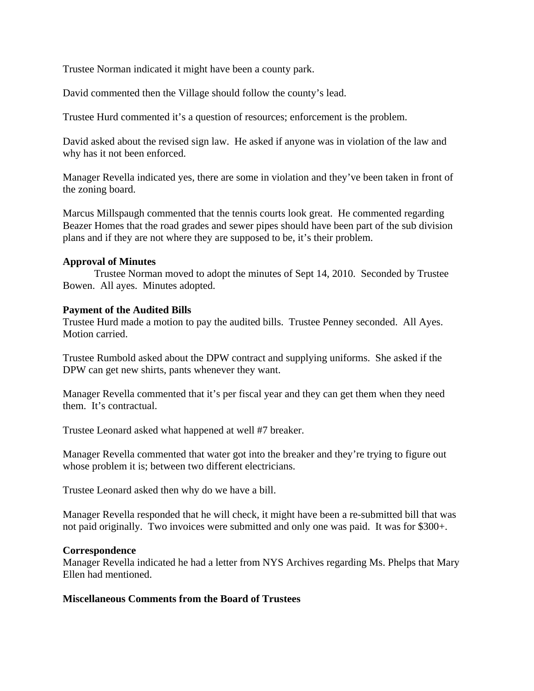Trustee Norman indicated it might have been a county park.

David commented then the Village should follow the county's lead.

Trustee Hurd commented it's a question of resources; enforcement is the problem.

David asked about the revised sign law. He asked if anyone was in violation of the law and why has it not been enforced.

Manager Revella indicated yes, there are some in violation and they've been taken in front of the zoning board.

Marcus Millspaugh commented that the tennis courts look great. He commented regarding Beazer Homes that the road grades and sewer pipes should have been part of the sub division plans and if they are not where they are supposed to be, it's their problem.

## **Approval of Minutes**

Trustee Norman moved to adopt the minutes of Sept 14, 2010. Seconded by Trustee Bowen. All ayes. Minutes adopted.

## **Payment of the Audited Bills**

Trustee Hurd made a motion to pay the audited bills. Trustee Penney seconded. All Ayes. Motion carried.

Trustee Rumbold asked about the DPW contract and supplying uniforms. She asked if the DPW can get new shirts, pants whenever they want.

Manager Revella commented that it's per fiscal year and they can get them when they need them. It's contractual.

Trustee Leonard asked what happened at well #7 breaker.

Manager Revella commented that water got into the breaker and they're trying to figure out whose problem it is; between two different electricians.

Trustee Leonard asked then why do we have a bill.

Manager Revella responded that he will check, it might have been a re-submitted bill that was not paid originally. Two invoices were submitted and only one was paid. It was for \$300+.

#### **Correspondence**

Manager Revella indicated he had a letter from NYS Archives regarding Ms. Phelps that Mary Ellen had mentioned.

## **Miscellaneous Comments from the Board of Trustees**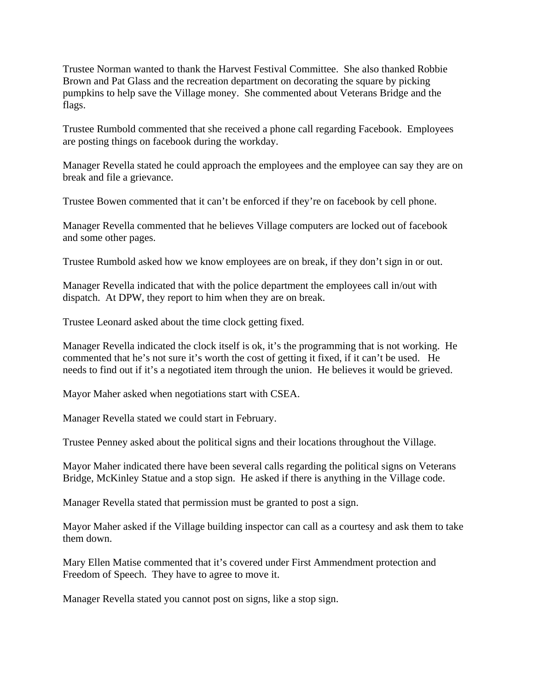Trustee Norman wanted to thank the Harvest Festival Committee. She also thanked Robbie Brown and Pat Glass and the recreation department on decorating the square by picking pumpkins to help save the Village money. She commented about Veterans Bridge and the flags.

Trustee Rumbold commented that she received a phone call regarding Facebook. Employees are posting things on facebook during the workday.

Manager Revella stated he could approach the employees and the employee can say they are on break and file a grievance.

Trustee Bowen commented that it can't be enforced if they're on facebook by cell phone.

Manager Revella commented that he believes Village computers are locked out of facebook and some other pages.

Trustee Rumbold asked how we know employees are on break, if they don't sign in or out.

Manager Revella indicated that with the police department the employees call in/out with dispatch. At DPW, they report to him when they are on break.

Trustee Leonard asked about the time clock getting fixed.

Manager Revella indicated the clock itself is ok, it's the programming that is not working. He commented that he's not sure it's worth the cost of getting it fixed, if it can't be used. He needs to find out if it's a negotiated item through the union. He believes it would be grieved.

Mayor Maher asked when negotiations start with CSEA.

Manager Revella stated we could start in February.

Trustee Penney asked about the political signs and their locations throughout the Village.

Mayor Maher indicated there have been several calls regarding the political signs on Veterans Bridge, McKinley Statue and a stop sign. He asked if there is anything in the Village code.

Manager Revella stated that permission must be granted to post a sign.

Mayor Maher asked if the Village building inspector can call as a courtesy and ask them to take them down.

Mary Ellen Matise commented that it's covered under First Ammendment protection and Freedom of Speech. They have to agree to move it.

Manager Revella stated you cannot post on signs, like a stop sign.